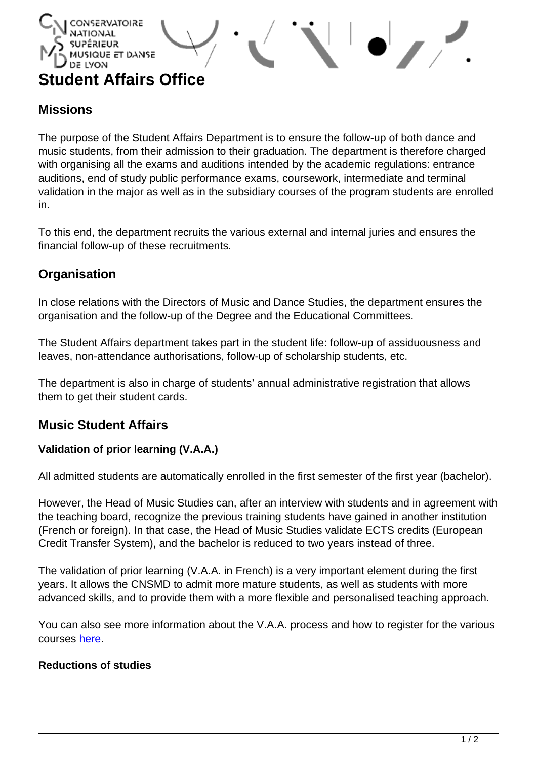## **LYON Student Affairs Office**

QUE ET DANSE

# **Missions**

The purpose of the Student Affairs Department is to ensure the follow-up of both dance and music students, from their admission to their graduation. The department is therefore charged with organising all the exams and auditions intended by the academic regulations: entrance auditions, end of study public performance exams, coursework, intermediate and terminal validation in the major as well as in the subsidiary courses of the program students are enrolled in.

To this end, the department recruits the various external and internal juries and ensures the financial follow-up of these recruitments.

# **Organisation**

In close relations with the Directors of Music and Dance Studies, the department ensures the organisation and the follow-up of the Degree and the Educational Committees.

The Student Affairs department takes part in the student life: follow-up of assiduousness and leaves, non-attendance authorisations, follow-up of scholarship students, etc.

The department is also in charge of students' annual administrative registration that allows them to get their student cards.

## **Music Student Affairs**

## **Validation of prior learning (V.A.A.)**

All admitted students are automatically enrolled in the first semester of the first year (bachelor).

However, the Head of Music Studies can, after an interview with students and in agreement with the teaching board, recognize the previous training students have gained in another institution (French or foreign). In that case, the Head of Music Studies validate ECTS credits (European Credit Transfer System), and the bachelor is reduced to two years instead of three.

The validation of prior learning (V.A.A. in French) is a very important element during the first years. It allows the CNSMD to admit more mature students, as well as students with more advanced skills, and to provide them with a more flexible and personalised teaching approach.

You can also see more information about the V.A.A. process and how to register for the various courses [here.](http://www.cnsmd-lyon.fr/en-2/course-registration)

#### **Reductions of studies**